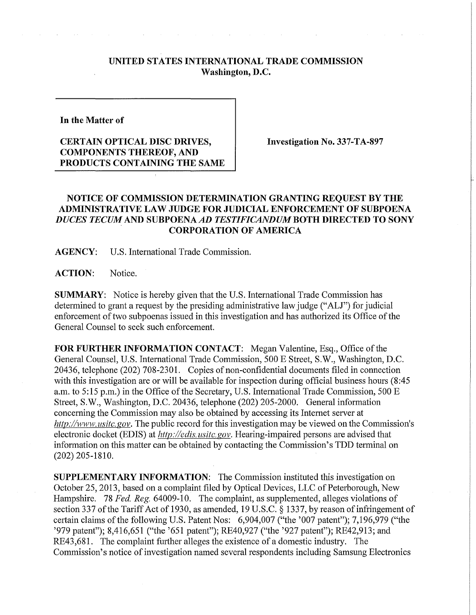## **UNITED STATES INTERNATIONAL TRADE COMMISSION Washington, D.C.**

**In the Matter of** 

## **CERTAIN OPTICAL DISC DRIVES, COMPONENTS THEREOF, AND PRODUCTS CONTAINING THE SAME**

**Investigation No. 337-TA-897** 

## **NOTICE OF COMMISSION DETERMINATION GRANTING REQUEST BY THE ADMINISTRATIVE LAW JUDGE FOR JUDICIAL ENFORCEMENT OF SUBPOENA**  *DUCES TECUM* **AND SUBPOENA** *AD TESTIFICANDUMBOTH* **DIRECTED TO SONY CORPORATION OF AMERICA**

**AGENCY:** U.S. International Trade Commission.

ACTION: Notice.

**SUMMARY:** Notice is hereby given that the U.S. International Trade Commission has determined to grant a request by the presiding administrative law judge ("ALJ") for judicial enforcement of two subpoenas issued in this investigation and has authorized its Office of the General Counsel to seek such enforcement.

**FOR FURTHER INFORMATION CONTACT:** Megan Valentine, Esq., Office of the General Counsel, U.S. International Trade Commission, 500 E Street, S.W., Washington, D.C. 20436, telephone (202) 708-2301. Copies of non-confidential documents filed in connection with this investigation are or will be available for inspection during official business hours (8:45 a.m. to 5:15 p.m.) in the Office of the Secretary, U.S. International Trade Commission, 500 E Street, S.W., Washington, D.C. 20436, telephone (202) 205-2000. General information concerning the Commission may also be obtained by accessing its Internet server at *http://www.usitc.gov.* The public record for this investigation may be viewed on the Commission's electronic docket (EDIS) at *http://edis.usitc.gov*. Hearing-impaired persons are advised that information on this matter can be obtained by contacting the Commission's TDD terminal on (202) 205-1810.

**SUPPLEMENTARY INFORMATION:** The Commission instituted this investigation on October 25, 2013, based on a complaint filed by Optical Devices, LLC of Peterborough, New Hampshire. 78 *Fed. Reg.* 64009-10. The complaint, as supplemented, alleges violations of section 337 of the Tariff Act of 1930, as amended, 19 U.S.C. § 1337, by reason of infringement of certain claims of the following U.S. Patent Nos: 6,904,007 ("the '007 patent"); 7,196,979 ("the '979 patent"); 8,416,651 ("the '651 patent"); RE40,927 ("the '927 patent"); RE42,913; and RE43,681. The complaint further alleges the existence of a domestic industry. The Commission's notice of investigation named several respondents including Samsung Electronics